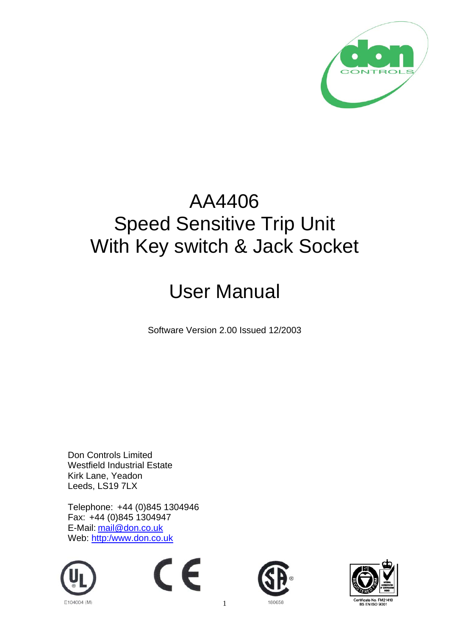

## AA4406 Speed Sensitive Trip Unit With Key switch & Jack Socket

## User Manual

Software Version 2.00 Issued 12/2003

Don Controls Limited Westfield Industrial Estate Kirk Lane, Yeadon Leeds, LS19 7LX

Telephone: +44 (0)845 1304946 Fax: +44 (0)845 1304947 E-Mail: mail@don.co.uk Web: http:/www.don.co.uk









1